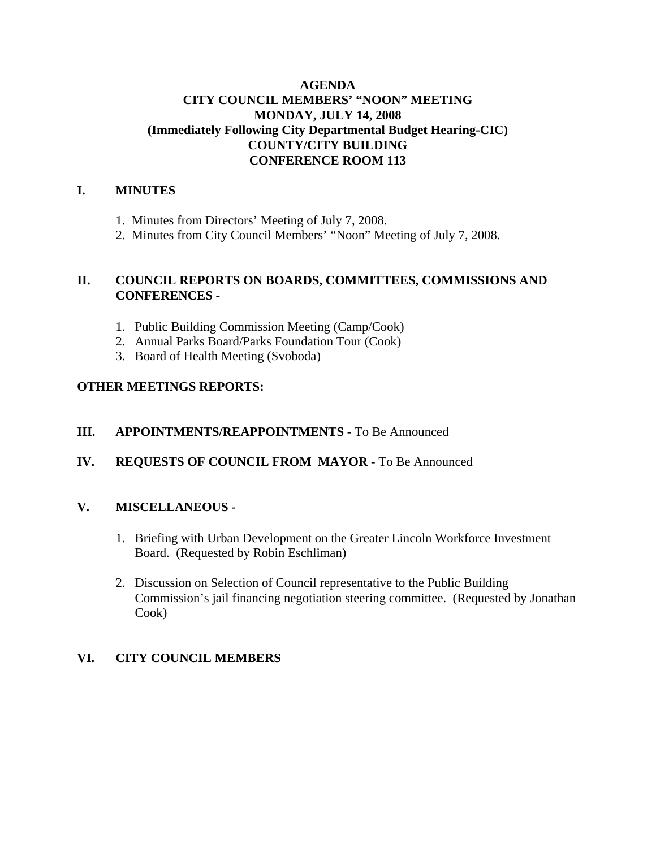#### **AGENDA CITY COUNCIL MEMBERS' "NOON" MEETING MONDAY, JULY 14, 2008 (Immediately Following City Departmental Budget Hearing-CIC) COUNTY/CITY BUILDING CONFERENCE ROOM 113**

#### **I. MINUTES**

- 1. Minutes from Directors' Meeting of July 7, 2008.
- 2. Minutes from City Council Members' "Noon" Meeting of July 7, 2008.

#### **II. COUNCIL REPORTS ON BOARDS, COMMITTEES, COMMISSIONS AND CONFERENCES** -

- 1. Public Building Commission Meeting (Camp/Cook)
- 2. Annual Parks Board/Parks Foundation Tour (Cook)
- 3. Board of Health Meeting (Svoboda)

#### **OTHER MEETINGS REPORTS:**

#### **III.** APPOINTMENTS/REAPPOINTMENTS - To Be Announced

#### **IV. REQUESTS OF COUNCIL FROM MAYOR -** To Be Announced

#### **V. MISCELLANEOUS -**

- 1. Briefing with Urban Development on the Greater Lincoln Workforce Investment Board. (Requested by Robin Eschliman)
- 2. Discussion on Selection of Council representative to the Public Building Commission's jail financing negotiation steering committee. (Requested by Jonathan Cook)

#### **VI. CITY COUNCIL MEMBERS**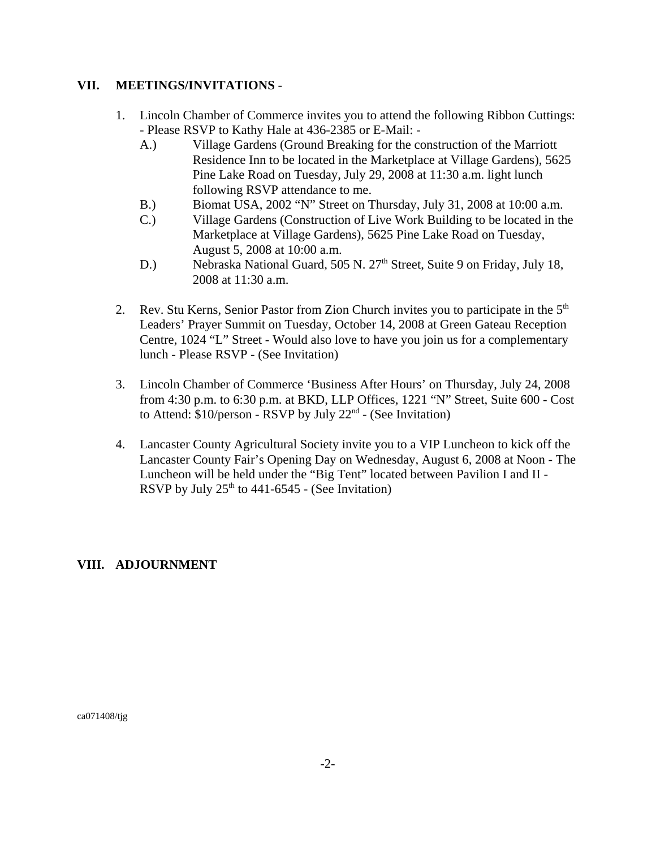#### **VII. MEETINGS/INVITATIONS** -

- 1. Lincoln Chamber of Commerce invites you to attend the following Ribbon Cuttings: - Please RSVP to Kathy Hale at 436-2385 or E-Mail: -
	- A.) Village Gardens (Ground Breaking for the construction of the Marriott Residence Inn to be located in the Marketplace at Village Gardens), 5625 Pine Lake Road on Tuesday, July 29, 2008 at 11:30 a.m. light lunch following RSVP attendance to me.
	- B.) Biomat USA, 2002 "N" Street on Thursday, July 31, 2008 at 10:00 a.m.
	- C.) Village Gardens (Construction of Live Work Building to be located in the Marketplace at Village Gardens), 5625 Pine Lake Road on Tuesday, August 5, 2008 at 10:00 a.m.
	- D.) Nebraska National Guard, 505 N. 27<sup>th</sup> Street, Suite 9 on Friday, July 18, 2008 at 11:30 a.m.
- 2. Rev. Stu Kerns, Senior Pastor from Zion Church invites you to participate in the  $5<sup>th</sup>$ Leaders' Prayer Summit on Tuesday, October 14, 2008 at Green Gateau Reception Centre, 1024 "L" Street - Would also love to have you join us for a complementary lunch - Please RSVP - (See Invitation)
- 3. Lincoln Chamber of Commerce 'Business After Hours' on Thursday, July 24, 2008 from 4:30 p.m. to 6:30 p.m. at BKD, LLP Offices, 1221 "N" Street, Suite 600 - Cost to Attend:  $$10/person - RSVP$  by July  $22<sup>nd</sup> - (See Invitation)$
- 4. Lancaster County Agricultural Society invite you to a VIP Luncheon to kick off the Lancaster County Fair's Opening Day on Wednesday, August 6, 2008 at Noon - The Luncheon will be held under the "Big Tent" located between Pavilion I and II - RSVP by July  $25<sup>th</sup>$  to 441-6545 - (See Invitation)

#### **VIII. ADJOURNMENT**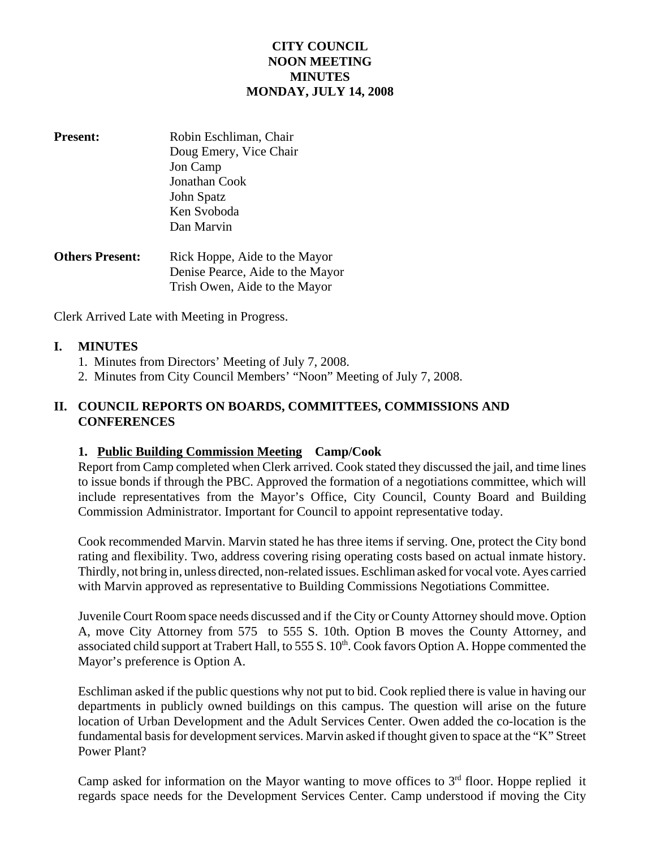#### **CITY COUNCIL NOON MEETING MINUTES MONDAY, JULY 14, 2008**

- **Present:** Robin Eschliman, Chair Doug Emery, Vice Chair Jon Camp Jonathan Cook John Spatz Ken Svoboda Dan Marvin
- **Others Present:** Rick Hoppe, Aide to the Mayor Denise Pearce, Aide to the Mayor Trish Owen, Aide to the Mayor

Clerk Arrived Late with Meeting in Progress.

#### **I. MINUTES**

- 1. Minutes from Directors' Meeting of July 7, 2008.
- 2. Minutes from City Council Members' "Noon" Meeting of July 7, 2008.

#### **II. COUNCIL REPORTS ON BOARDS, COMMITTEES, COMMISSIONS AND CONFERENCES**

#### **1. Public Building Commission Meeting Camp/Cook**

Report from Camp completed when Clerk arrived. Cook stated they discussed the jail, and time lines to issue bonds if through the PBC. Approved the formation of a negotiations committee, which will include representatives from the Mayor's Office, City Council, County Board and Building Commission Administrator. Important for Council to appoint representative today.

Cook recommended Marvin. Marvin stated he has three items if serving. One, protect the City bond rating and flexibility. Two, address covering rising operating costs based on actual inmate history. Thirdly, not bring in, unless directed, non-related issues. Eschliman asked for vocal vote. Ayes carried with Marvin approved as representative to Building Commissions Negotiations Committee.

Juvenile Court Room space needs discussed and if the City or County Attorney should move. Option A, move City Attorney from 575 to 555 S. 10th. Option B moves the County Attorney, and associated child support at Trabert Hall, to 555 S. 10<sup>th</sup>. Cook favors Option A. Hoppe commented the Mayor's preference is Option A.

Eschliman asked if the public questions why not put to bid. Cook replied there is value in having our departments in publicly owned buildings on this campus. The question will arise on the future location of Urban Development and the Adult Services Center. Owen added the co-location is the fundamental basis for development services. Marvin asked if thought given to space at the "K" Street Power Plant?

Camp asked for information on the Mayor wanting to move offices to  $3<sup>rd</sup>$  floor. Hoppe replied it regards space needs for the Development Services Center. Camp understood if moving the City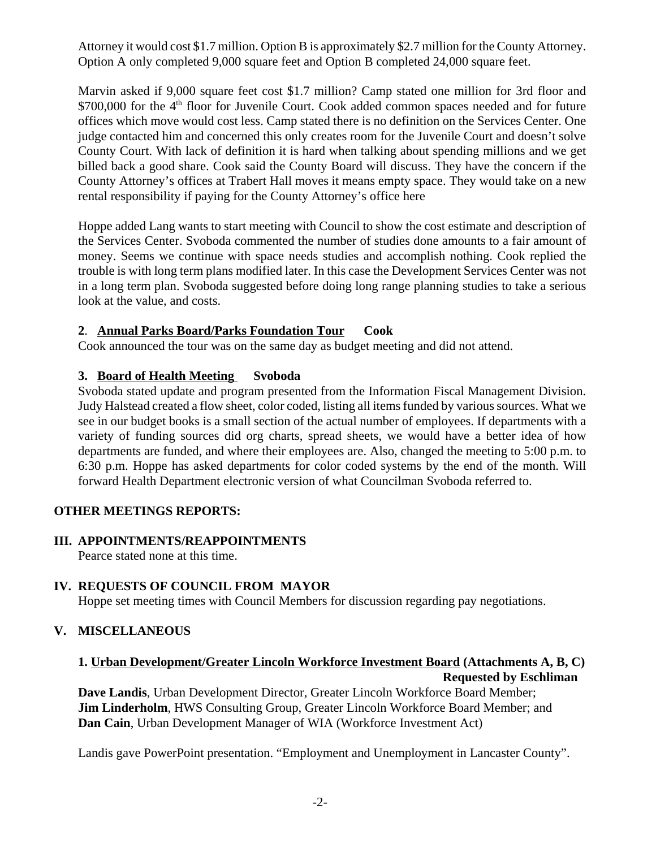Attorney it would cost \$1.7 million. Option B is approximately \$2.7 million for the County Attorney. Option A only completed 9,000 square feet and Option B completed 24,000 square feet.

Marvin asked if 9,000 square feet cost \$1.7 million? Camp stated one million for 3rd floor and \$700,000 for the 4<sup>th</sup> floor for Juvenile Court. Cook added common spaces needed and for future offices which move would cost less. Camp stated there is no definition on the Services Center. One judge contacted him and concerned this only creates room for the Juvenile Court and doesn't solve County Court. With lack of definition it is hard when talking about spending millions and we get billed back a good share. Cook said the County Board will discuss. They have the concern if the County Attorney's offices at Trabert Hall moves it means empty space. They would take on a new rental responsibility if paying for the County Attorney's office here

Hoppe added Lang wants to start meeting with Council to show the cost estimate and description of the Services Center. Svoboda commented the number of studies done amounts to a fair amount of money. Seems we continue with space needs studies and accomplish nothing. Cook replied the trouble is with long term plans modified later. In this case the Development Services Center was not in a long term plan. Svoboda suggested before doing long range planning studies to take a serious look at the value, and costs.

#### **2**. **Annual Parks Board/Parks Foundation Tour Cook**

Cook announced the tour was on the same day as budget meeting and did not attend.

#### **3. Board of Health Meeting Svoboda**

Svoboda stated update and program presented from the Information Fiscal Management Division. Judy Halstead created a flow sheet, color coded, listing all items funded by various sources. What we see in our budget books is a small section of the actual number of employees. If departments with a variety of funding sources did org charts, spread sheets, we would have a better idea of how departments are funded, and where their employees are. Also, changed the meeting to 5:00 p.m. to 6:30 p.m. Hoppe has asked departments for color coded systems by the end of the month. Will forward Health Department electronic version of what Councilman Svoboda referred to.

#### **OTHER MEETINGS REPORTS:**

#### **III. APPOINTMENTS/REAPPOINTMENTS**

Pearce stated none at this time.

#### **IV. REQUESTS OF COUNCIL FROM MAYOR**

Hoppe set meeting times with Council Members for discussion regarding pay negotiations.

#### **V. MISCELLANEOUS**

#### **1. Urban Development/Greater Lincoln Workforce Investment Board (Attachments A, B, C) Requested by Eschliman**

**Dave Landis**, Urban Development Director, Greater Lincoln Workforce Board Member; **Jim Linderholm**, HWS Consulting Group, Greater Lincoln Workforce Board Member; and **Dan Cain**, Urban Development Manager of WIA (Workforce Investment Act)

Landis gave PowerPoint presentation. "Employment and Unemployment in Lancaster County".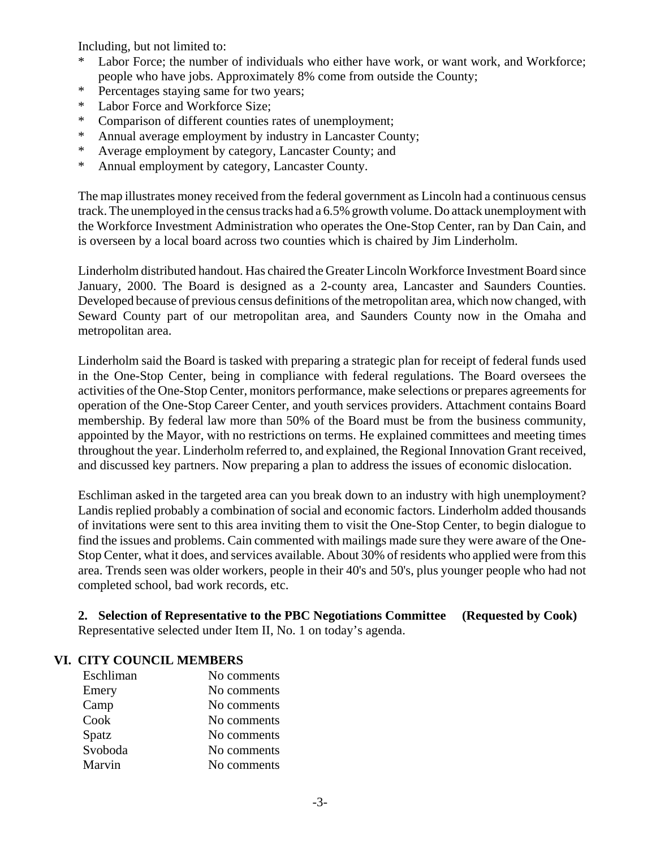Including, but not limited to:

- \* Labor Force; the number of individuals who either have work, or want work, and Workforce; people who have jobs. Approximately 8% come from outside the County;
- \* Percentages staying same for two years;
- \* Labor Force and Workforce Size;
- \* Comparison of different counties rates of unemployment;
- \* Annual average employment by industry in Lancaster County;
- \* Average employment by category, Lancaster County; and
- \* Annual employment by category, Lancaster County.

The map illustrates money received from the federal government as Lincoln had a continuous census track. The unemployed in the census tracks had a 6.5% growth volume. Do attack unemployment with the Workforce Investment Administration who operates the One-Stop Center, ran by Dan Cain, and is overseen by a local board across two counties which is chaired by Jim Linderholm.

Linderholm distributed handout. Has chaired the Greater Lincoln Workforce Investment Board since January, 2000. The Board is designed as a 2-county area, Lancaster and Saunders Counties. Developed because of previous census definitions of the metropolitan area, which now changed, with Seward County part of our metropolitan area, and Saunders County now in the Omaha and metropolitan area.

Linderholm said the Board is tasked with preparing a strategic plan for receipt of federal funds used in the One-Stop Center, being in compliance with federal regulations. The Board oversees the activities of the One-Stop Center, monitors performance, make selections or prepares agreements for operation of the One-Stop Career Center, and youth services providers. Attachment contains Board membership. By federal law more than 50% of the Board must be from the business community, appointed by the Mayor, with no restrictions on terms. He explained committees and meeting times throughout the year. Linderholm referred to, and explained, the Regional Innovation Grant received, and discussed key partners. Now preparing a plan to address the issues of economic dislocation.

Eschliman asked in the targeted area can you break down to an industry with high unemployment? Landis replied probably a combination of social and economic factors. Linderholm added thousands of invitations were sent to this area inviting them to visit the One-Stop Center, to begin dialogue to find the issues and problems. Cain commented with mailings made sure they were aware of the One-Stop Center, what it does, and services available. About 30% of residents who applied were from this area. Trends seen was older workers, people in their 40's and 50's, plus younger people who had not completed school, bad work records, etc.

**2. Selection of Representative to the PBC Negotiations Committee (Requested by Cook)** Representative selected under Item II, No. 1 on today's agenda.

#### **VI. CITY COUNCIL MEMBERS**

| Eschliman | No comments |
|-----------|-------------|
| Emery     | No comments |
| Camp      | No comments |
| Cook      | No comments |
| Spatz     | No comments |
| Svoboda   | No comments |
| Marvin    | No comments |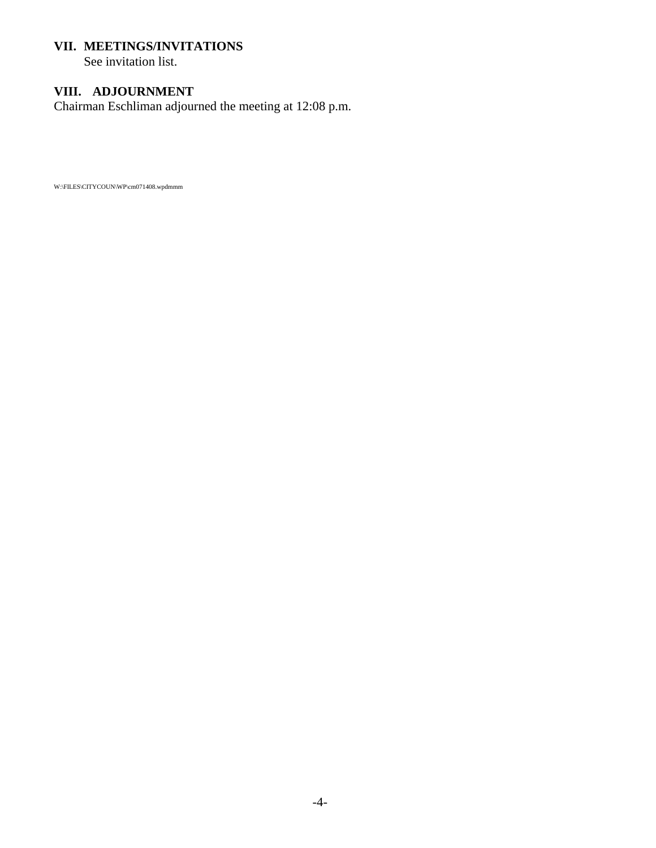#### **VII. MEETINGS/INVITATIONS**

See invitation list.

### **VIII. ADJOURNMENT**

Chairman Eschliman adjourned the meeting at 12:08 p.m.

W:\FILES\CITYCOUN\WP\cm071408.wpdmmm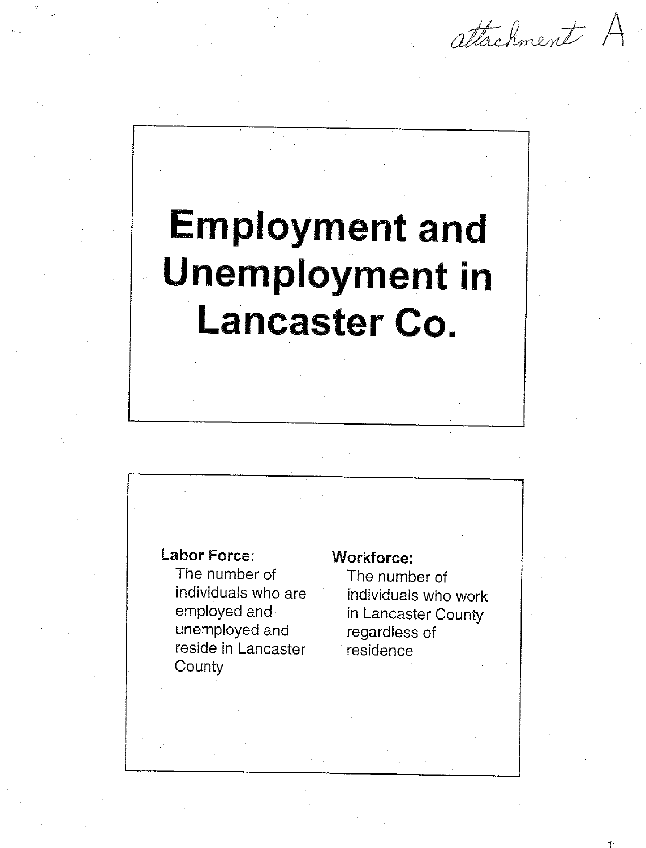attachment A

# **Employment and Unemployment in** Lancaster Co.

### **Labor Force:**

The number of individuals who are employed and unemployed and reside in Lancaster County

#### **Workforce:**

The number of individuals who work in Lancaster County regardless of residence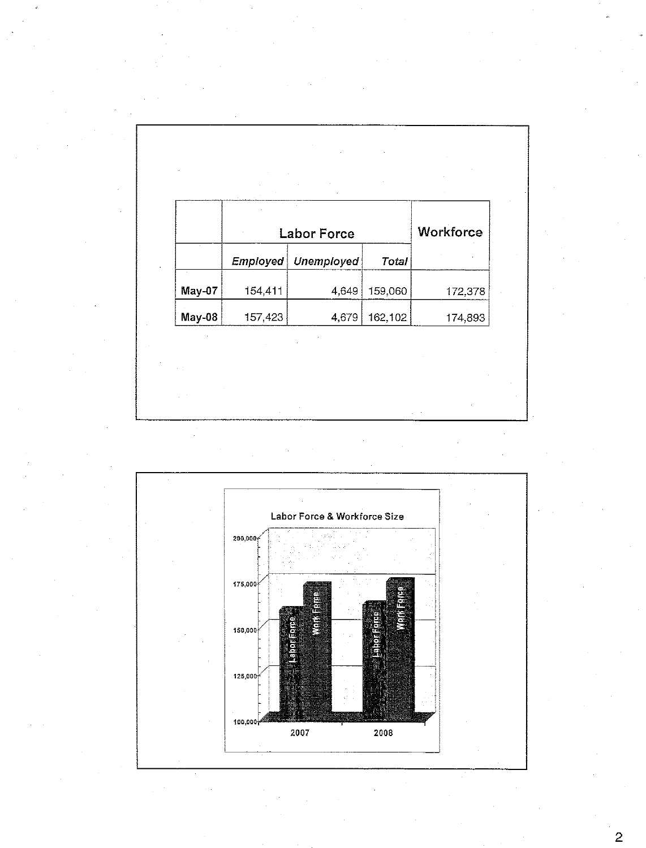|        |         | <b>Labor Force</b> |         | Workforce |
|--------|---------|--------------------|---------|-----------|
|        | Employd | <b>Unemployed</b>  | Total   |           |
| May-07 | 154,411 | 4,649              | 159,060 | 172,378   |
| May-08 | 157,423 | 4,679              | 162,102 | 174,893   |
|        |         |                    |         |           |
|        |         |                    |         |           |

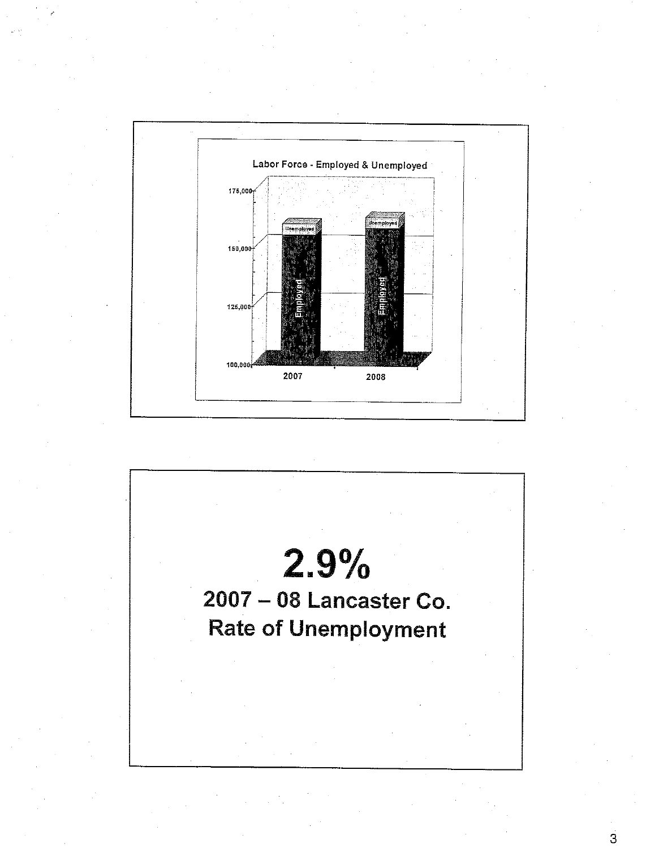

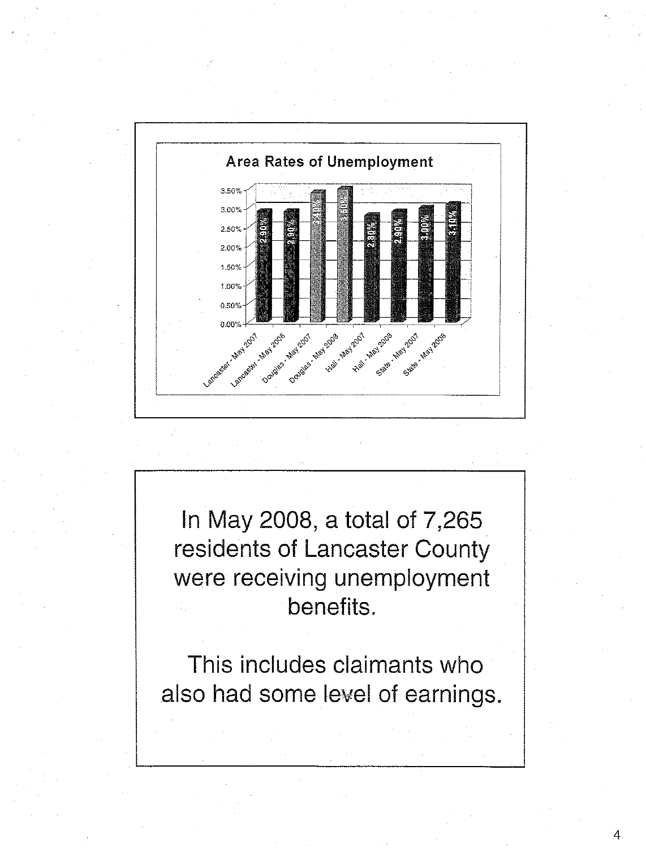

In May 2008, a total of 7,265 residents of Lancaster County were receiving unemployment benefits.

This includes claimants who also had some level of earnings.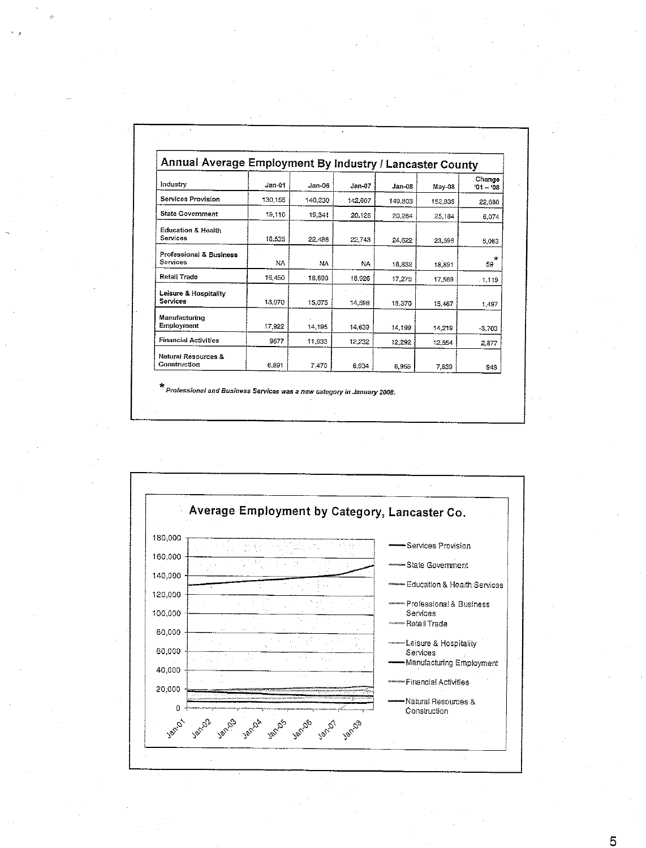| Annual Average Employment By Industry / Lancaster County |          |          |          |          |         |                       |
|----------------------------------------------------------|----------|----------|----------|----------|---------|-----------------------|
| Industry                                                 | $Jan-01$ | $Jan-06$ | $Jan-07$ | $Jan-08$ | May 08  | Change<br>$101 - 108$ |
| <b>Services Provision</b>                                | 130,155  | 140.230  | 142.607  | 149,803  | 152,835 | 22,680                |
| <b>State Government</b>                                  | 19.110   | 19.341   | 20,126   | 20,264   | 25.184  | 6.074                 |
| <b>Education &amp; Health</b><br>Services                | 18 535   | 22.438   | 22.743   | 24.622   | 23.598  | 5,063                 |
| Professional & Business<br>Services                      | NA.      | NA       | NA       | 18,832   | 18,891  | $\star$<br>59         |
| Retail Trade                                             | 16 450   | 16,890   | 16.926   | 17,275   | 17.569  | $-1,119$              |
| Leisure & Hospitality<br>Services                        | 13.970   | 15,075   | 14.598   | 15.370   | 15,467  | 1.497                 |
| Manufacturino<br>Employment                              | 17,922   | 14,195   | 14,639   | 14,199   | 14,219  | $-3,703$              |
| <b>Financial Activities</b>                              | 9677     | 11,933   | 12.232   | 12.292   | 12,554  | 2,877                 |
| Natural Resources &<br>Construction                      | 6.891    | 7.470    | 6,934    | 6.955    | 7.839   | 948                   |

\*<br>Professional and Business Services was a new category in January 2008.

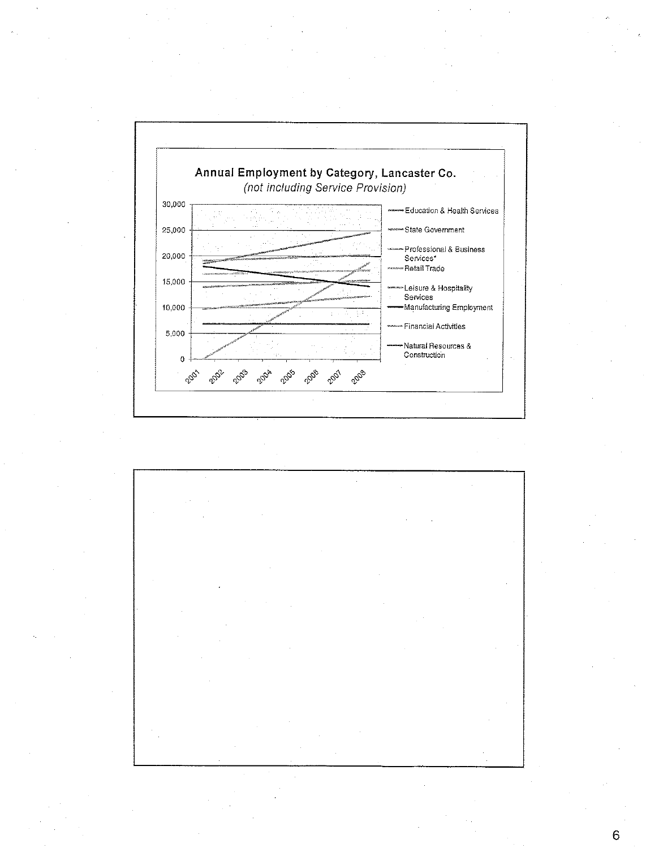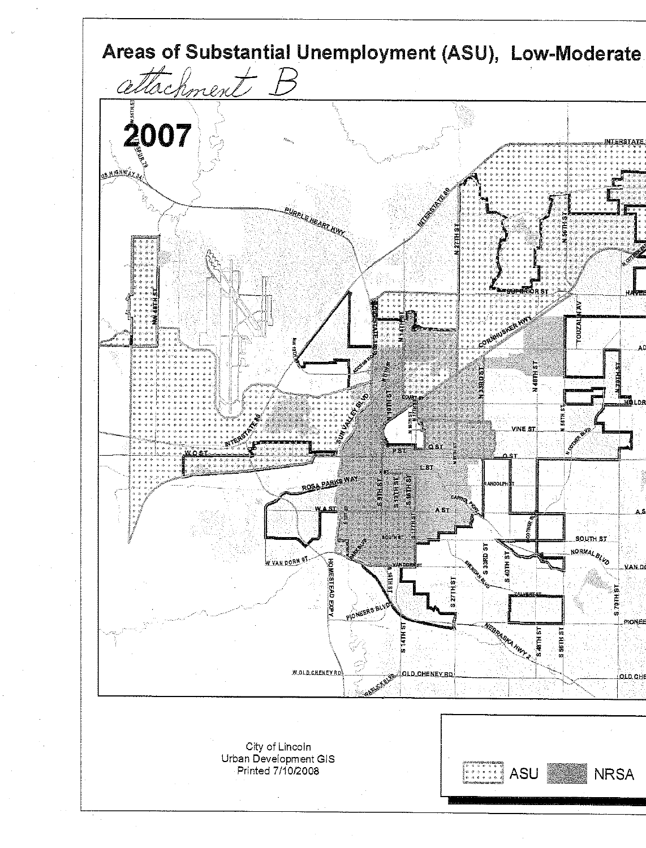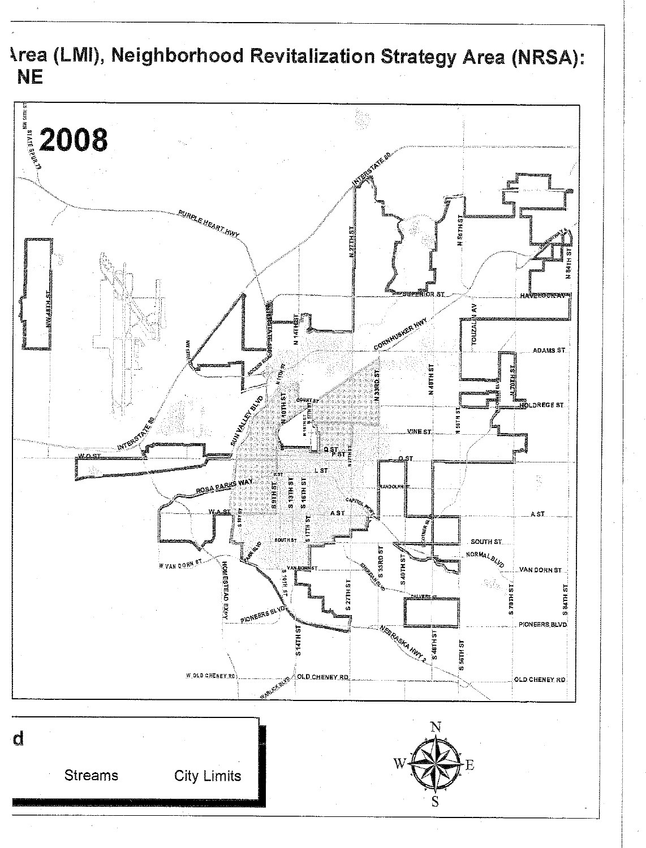**Area (LMI), Neighborhood Revitalization Strategy Area (NRSA): NE** 

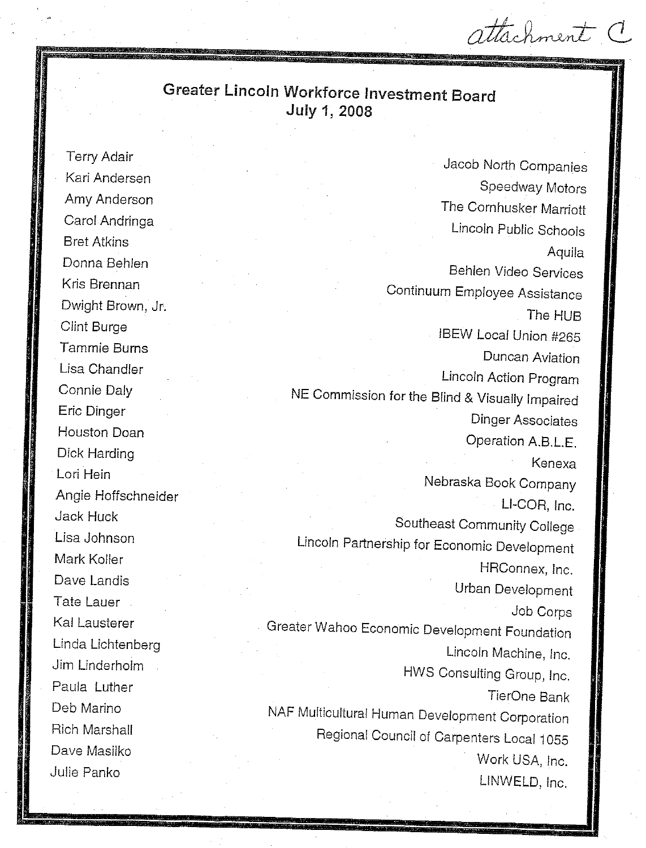stachment C

## **Greater Lincoln Workforce Investment Board** July 1, 2008

**Terry Adair** Kari Andersen Amv Anderson Carol Andringa **Bret Atkins** Donna Behlen Kris Brennan Dwight Brown, Jr. **Clint Burge** Tammie Burns Lisa Chandler Connie Daly **Eric Dinger Houston Doan** Dick Harding Lori Hein Angie Hoffschneider **Jack Huck** Lisa Johnson Mark Koller Dave Landis Tate Lauer Kal Lausterer Linda Lichtenberg Jim Linderholm Paula Luther Deb Marino Rich Marshall Dave Masilko Julie Panko

Jacob North Companies Speedway Motors The Cornhusker Marriott Lincoln Public Schools Aquila **Behlen Video Services** Continuum Employee Assistance The HUR **IBEW Local Union #265** Duncan Aviation Lincoln Action Program NE Commission for the Blind & Visually Impaired **Dinger Associates** Operation A.B.L.E. Kenexa Nebraska Book Company LI-COR. Inc. Southeast Community College Lincoln Partnership for Economic Development HRConnex, Inc. Urban Development Job Corps Greater Wahoo Economic Development Foundation Lincoln Machine, Inc. HWS Consulting Group, Inc. TierOne Bank NAF Multicultural Human Development Corporation Regional Council of Carpenters Local 1055 Work USA, Inc. LINWELD, Inc.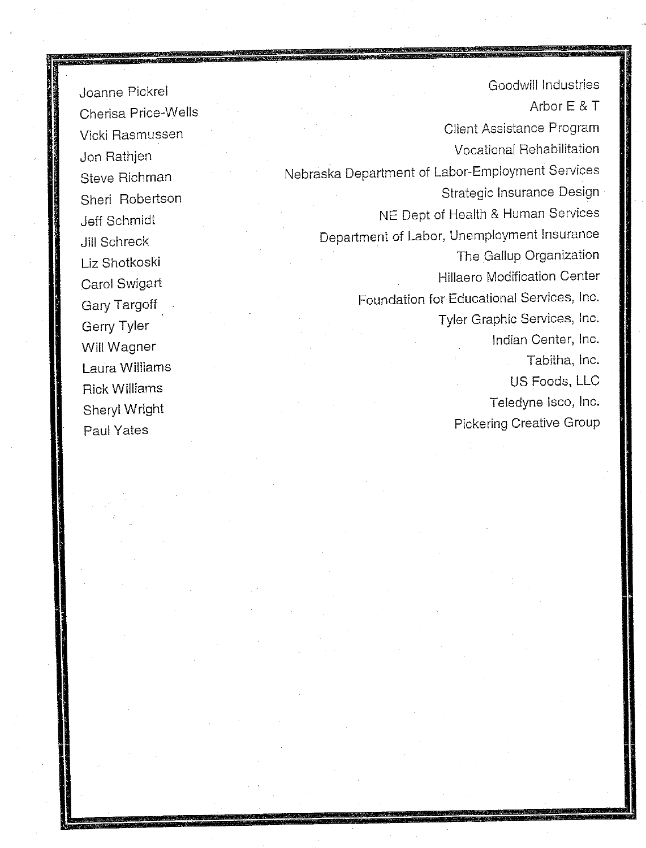Joanne Pickrel Cherisa Price-Wells Vicki Rasmussen Jon Rathjen Steve Richman Sheri Robertson **Jeff Schmidt** Jill Schreck Liz Shotkoski Carol Swigart Gary Targoff Gerry Tyler Will Wagner Laura Williams **Rick Williams** Sheryl Wright Paul Yates

Goodwill Industries Arbor E & T Client Assistance Program **Vocational Rehabilitation** Nebraska Department of Labor-Employment Services Strategic Insurance Design NE Dept of Health & Human Services Department of Labor, Unemployment Insurance The Gallup Organization **Hillaero Modification Center** Foundation for Educational Services, Inc. Tyler Graphic Services, Inc. Indian Center, Inc. Tabitha, Inc. US Foods, LLC Teledyne Isco, Inc. **Pickering Creative Group**